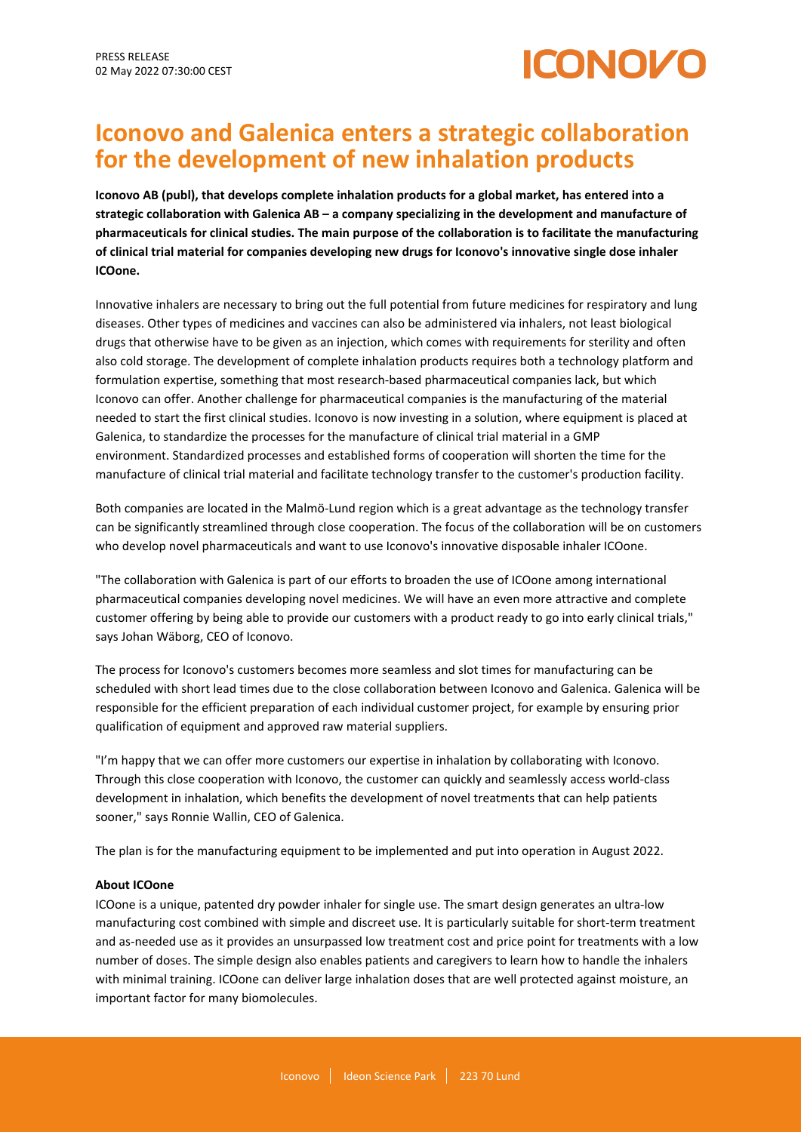

# **Iconovo and Galenica enters a strategic collaboration for the development of new inhalation products**

**Iconovo AB (publ), that develops complete inhalation products for a global market, has entered into a strategic collaboration with Galenica AB – a company specializing in the development and manufacture of pharmaceuticals for clinical studies. The main purpose of the collaboration is to facilitate the manufacturing of clinical trial material for companies developing new drugs for Iconovo's innovative single dose inhaler ICOone.**

Innovative inhalers are necessary to bring out the full potential from future medicines for respiratory and lung diseases. Other types of medicines and vaccines can also be administered via inhalers, not least biological drugs that otherwise have to be given as an injection, which comes with requirements for sterility and often also cold storage. The development of complete inhalation products requires both a technology platform and formulation expertise, something that most research-based pharmaceutical companies lack, but which Iconovo can offer. Another challenge for pharmaceutical companies is the manufacturing of the material needed to start the first clinical studies. Iconovo is now investing in a solution, where equipment is placed at Galenica, to standardize the processes for the manufacture of clinical trial material in a GMP environment. Standardized processes and established forms of cooperation will shorten the time for the manufacture of clinical trial material and facilitate technology transfer to the customer's production facility.

Both companies are located in the Malmö-Lund region which is a great advantage as the technology transfer can be significantly streamlined through close cooperation. The focus of the collaboration will be on customers who develop novel pharmaceuticals and want to use Iconovo's innovative disposable inhaler ICOone.

"The collaboration with Galenica is part of our efforts to broaden the use of ICOone among international pharmaceutical companies developing novel medicines. We will have an even more attractive and complete customer offering by being able to provide our customers with a product ready to go into early clinical trials," says Johan Wäborg, CEO of Iconovo.

The process for Iconovo's customers becomes more seamless and slot times for manufacturing can be scheduled with short lead times due to the close collaboration between Iconovo and Galenica. Galenica will be responsible for the efficient preparation of each individual customer project, for example by ensuring prior qualification of equipment and approved raw material suppliers.

"I'm happy that we can offer more customers our expertise in inhalation by collaborating with Iconovo. Through this close cooperation with Iconovo, the customer can quickly and seamlessly access world-class development in inhalation, which benefits the development of novel treatments that can help patients sooner," says Ronnie Wallin, CEO of Galenica.

The plan is for the manufacturing equipment to be implemented and put into operation in August 2022.

## **About ICOone**

ICOone is a unique, patented dry powder inhaler for single use. The smart design generates an ultra-low manufacturing cost combined with simple and discreet use. It is particularly suitable for short-term treatment and as-needed use as it provides an unsurpassed low treatment cost and price point for treatments with a low number of doses. The simple design also enables patients and caregivers to learn how to handle the inhalers with minimal training. ICOone can deliver large inhalation doses that are well protected against moisture, an important factor for many biomolecules.